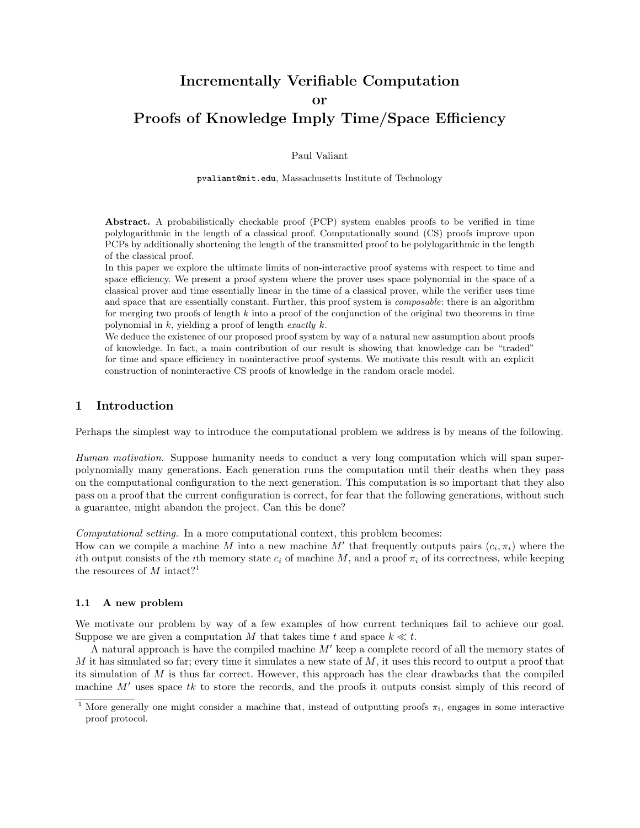# Incrementally Verifiable Computation or Proofs of Knowledge Imply Time/Space Efficiency

Paul Valiant

pvaliant@mit.edu, Massachusetts Institute of Technology

Abstract. A probabilistically checkable proof (PCP) system enables proofs to be verified in time polylogarithmic in the length of a classical proof. Computationally sound (CS) proofs improve upon PCPs by additionally shortening the length of the transmitted proof to be polylogarithmic in the length of the classical proof.

In this paper we explore the ultimate limits of non-interactive proof systems with respect to time and space efficiency. We present a proof system where the prover uses space polynomial in the space of a classical prover and time essentially linear in the time of a classical prover, while the verifier uses time and space that are essentially constant. Further, this proof system is *composable*: there is an algorithm for merging two proofs of length  $k$  into a proof of the conjunction of the original two theorems in time polynomial in  $k$ , yielding a proof of length exactly  $k$ .

We deduce the existence of our proposed proof system by way of a natural new assumption about proofs of knowledge. In fact, a main contribution of our result is showing that knowledge can be "traded" for time and space efficiency in noninteractive proof systems. We motivate this result with an explicit construction of noninteractive CS proofs of knowledge in the random oracle model.

## 1 Introduction

Perhaps the simplest way to introduce the computational problem we address is by means of the following.

Human motivation. Suppose humanity needs to conduct a very long computation which will span superpolynomially many generations. Each generation runs the computation until their deaths when they pass on the computational configuration to the next generation. This computation is so important that they also pass on a proof that the current configuration is correct, for fear that the following generations, without such a guarantee, might abandon the project. Can this be done?

Computational setting. In a more computational context, this problem becomes:

How can we compile a machine M into a new machine M' that frequently outputs pairs  $(c_i, \pi_i)$  where the ith output consists of the ith memory state  $c_i$  of machine M, and a proof  $\pi_i$  of its correctness, while keeping the resources of M intact?<sup>1</sup>

## 1.1 A new problem

We motivate our problem by way of a few examples of how current techniques fail to achieve our goal. Suppose we are given a computation M that takes time t and space  $k \ll t$ .

A natural approach is have the compiled machine  $M'$  keep a complete record of all the memory states of M it has simulated so far; every time it simulates a new state of  $M$ , it uses this record to output a proof that its simulation of M is thus far correct. However, this approach has the clear drawbacks that the compiled machine  $M'$  uses space tk to store the records, and the proofs it outputs consist simply of this record of

More generally one might consider a machine that, instead of outputting proofs  $\pi_i$ , engages in some interactive proof protocol.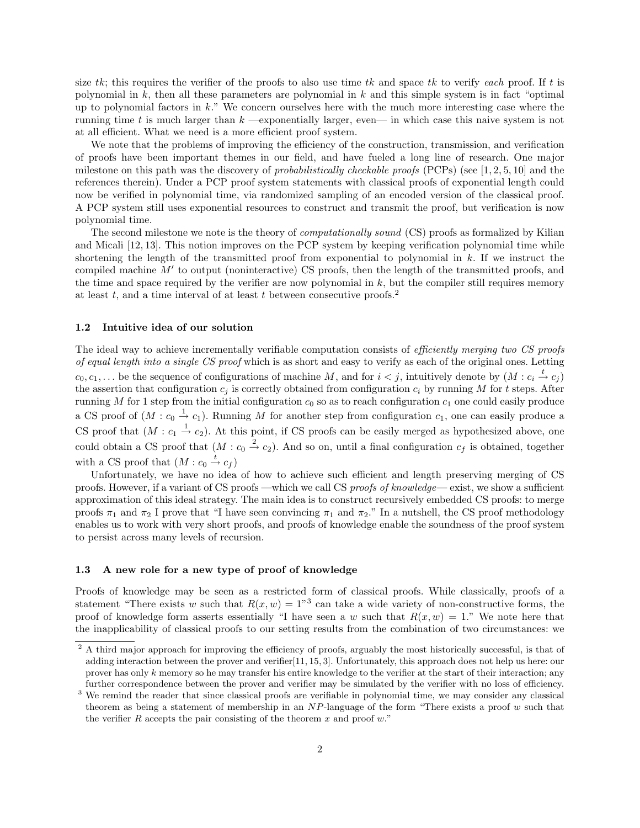size tk; this requires the verifier of the proofs to also use time tk and space tk to verify each proof. If t is polynomial in  $k$ , then all these parameters are polynomial in  $k$  and this simple system is in fact "optimal" up to polynomial factors in k." We concern ourselves here with the much more interesting case where the running time t is much larger than  $k$  —exponentially larger, even— in which case this naive system is not at all efficient. What we need is a more efficient proof system.

We note that the problems of improving the efficiency of the construction, transmission, and verification of proofs have been important themes in our field, and have fueled a long line of research. One major milestone on this path was the discovery of probabilistically checkable proofs (PCPs) (see  $[1, 2, 5, 10]$  and the references therein). Under a PCP proof system statements with classical proofs of exponential length could now be verified in polynomial time, via randomized sampling of an encoded version of the classical proof. A PCP system still uses exponential resources to construct and transmit the proof, but verification is now polynomial time.

The second milestone we note is the theory of *computationally sound* (CS) proofs as formalized by Kilian and Micali [12, 13]. This notion improves on the PCP system by keeping verification polynomial time while shortening the length of the transmitted proof from exponential to polynomial in  $k$ . If we instruct the compiled machine  $M'$  to output (noninteractive) CS proofs, then the length of the transmitted proofs, and the time and space required by the verifier are now polynomial in  $k$ , but the compiler still requires memory at least t, and a time interval of at least t between consecutive proofs.<sup>2</sup>

#### 1.2 Intuitive idea of our solution

The ideal way to achieve incrementally verifiable computation consists of *efficiently merging two CS proofs* of equal length into a single CS proof which is as short and easy to verify as each of the original ones. Letting  $c_0, c_1, \ldots$  be the sequence of configurations of machine M, and for  $i < j$ , intuitively denote by  $(M : c_i \stackrel{t}{\rightarrow} c_j)$ the assertion that configuration  $c_i$  is correctly obtained from configuration  $c_i$  by running M for t steps. After running M for 1 step from the initial configuration  $c_0$  so as to reach configuration  $c_1$  one could easily produce a CS proof of  $(M : c_0 \stackrel{1}{\rightarrow} c_1)$ . Running M for another step from configuration  $c_1$ , one can easily produce a CS proof that  $(M : c_1 \stackrel{1}{\rightarrow} c_2)$ . At this point, if CS proofs can be easily merged as hypothesized above, one could obtain a CS proof that  $(M : c_0 \stackrel{2}{\rightarrow} c_2)$ . And so on, until a final configuration  $c_f$  is obtained, together with a CS proof that  $(M : c_0 \stackrel{t}{\rightarrow} c_f)$ 

Unfortunately, we have no idea of how to achieve such efficient and length preserving merging of CS proofs. However, if a variant of CS proofs —which we call CS proofs of knowledge— exist, we show a sufficient approximation of this ideal strategy. The main idea is to construct recursively embedded CS proofs: to merge proofs  $\pi_1$  and  $\pi_2$  I prove that "I have seen convincing  $\pi_1$  and  $\pi_2$ ." In a nutshell, the CS proof methodology enables us to work with very short proofs, and proofs of knowledge enable the soundness of the proof system to persist across many levels of recursion.

## 1.3 A new role for a new type of proof of knowledge

Proofs of knowledge may be seen as a restricted form of classical proofs. While classically, proofs of a statement "There exists w such that  $R(x, w) = 1^{n3}$  can take a wide variety of non-constructive forms, the proof of knowledge form asserts essentially "I have seen a w such that  $R(x, w) = 1$ ." We note here that the inapplicability of classical proofs to our setting results from the combination of two circumstances: we

<sup>&</sup>lt;sup>2</sup> A third major approach for improving the efficiency of proofs, arguably the most historically successful, is that of adding interaction between the prover and verifier[11, 15, 3]. Unfortunately, this approach does not help us here: our prover has only  $k$  memory so he may transfer his entire knowledge to the verifier at the start of their interaction; any further correspondence between the prover and verifier may be simulated by the verifier with no loss of efficiency.

<sup>&</sup>lt;sup>3</sup> We remind the reader that since classical proofs are verifiable in polynomial time, we may consider any classical theorem as being a statement of membership in an  $NP$ -language of the form "There exists a proof w such that the verifier  $R$  accepts the pair consisting of the theorem  $x$  and proof  $w$ ."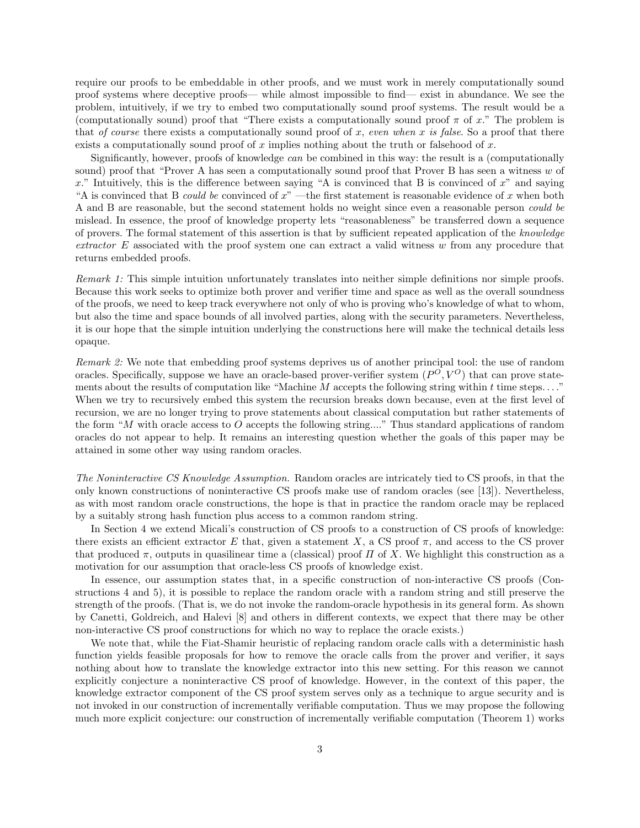require our proofs to be embeddable in other proofs, and we must work in merely computationally sound proof systems where deceptive proofs— while almost impossible to find— exist in abundance. We see the problem, intuitively, if we try to embed two computationally sound proof systems. The result would be a (computationally sound) proof that "There exists a computationally sound proof  $\pi$  of x." The problem is that of course there exists a computationally sound proof of x, even when x is false. So a proof that there exists a computationally sound proof of x implies nothing about the truth or falsehood of  $x$ .

Significantly, however, proofs of knowledge can be combined in this way: the result is a (computationally sound) proof that "Prover A has seen a computationally sound proof that Prover B has seen a witness  $w$  of  $x$ ." Intuitively, this is the difference between saying "A is convinced that B is convinced of  $x$ " and saying "A is convinced that B *could be* convinced of  $x$ " —the first statement is reasonable evidence of x when both A and B are reasonable, but the second statement holds no weight since even a reasonable person could be mislead. In essence, the proof of knowledge property lets "reasonableness" be transferred down a sequence of provers. The formal statement of this assertion is that by sufficient repeated application of the knowledge extractor E associated with the proof system one can extract a valid witness w from any procedure that returns embedded proofs.

Remark 1: This simple intuition unfortunately translates into neither simple definitions nor simple proofs. Because this work seeks to optimize both prover and verifier time and space as well as the overall soundness of the proofs, we need to keep track everywhere not only of who is proving who's knowledge of what to whom, but also the time and space bounds of all involved parties, along with the security parameters. Nevertheless, it is our hope that the simple intuition underlying the constructions here will make the technical details less opaque.

Remark 2: We note that embedding proof systems deprives us of another principal tool: the use of random oracles. Specifically, suppose we have an oracle-based prover-verifier system  $(P^O, V^O)$  that can prove statements about the results of computation like "Machine  $M$  accepts the following string within  $t$  time steps...." When we try to recursively embed this system the recursion breaks down because, even at the first level of recursion, we are no longer trying to prove statements about classical computation but rather statements of the form " $M$  with oracle access to  $O$  accepts the following string...." Thus standard applications of random oracles do not appear to help. It remains an interesting question whether the goals of this paper may be attained in some other way using random oracles.

The Noninteractive CS Knowledge Assumption. Random oracles are intricately tied to CS proofs, in that the only known constructions of noninteractive CS proofs make use of random oracles (see [13]). Nevertheless, as with most random oracle constructions, the hope is that in practice the random oracle may be replaced by a suitably strong hash function plus access to a common random string.

In Section 4 we extend Micali's construction of CS proofs to a construction of CS proofs of knowledge: there exists an efficient extractor E that, given a statement X, a CS proof  $\pi$ , and access to the CS prover that produced  $\pi$ , outputs in quasilinear time a (classical) proof  $\Pi$  of X. We highlight this construction as a motivation for our assumption that oracle-less CS proofs of knowledge exist.

In essence, our assumption states that, in a specific construction of non-interactive CS proofs (Constructions 4 and 5), it is possible to replace the random oracle with a random string and still preserve the strength of the proofs. (That is, we do not invoke the random-oracle hypothesis in its general form. As shown by Canetti, Goldreich, and Halevi [8] and others in different contexts, we expect that there may be other non-interactive CS proof constructions for which no way to replace the oracle exists.)

We note that, while the Fiat-Shamir heuristic of replacing random oracle calls with a deterministic hash function yields feasible proposals for how to remove the oracle calls from the prover and verifier, it says nothing about how to translate the knowledge extractor into this new setting. For this reason we cannot explicitly conjecture a noninteractive CS proof of knowledge. However, in the context of this paper, the knowledge extractor component of the CS proof system serves only as a technique to argue security and is not invoked in our construction of incrementally verifiable computation. Thus we may propose the following much more explicit conjecture: our construction of incrementally verifiable computation (Theorem 1) works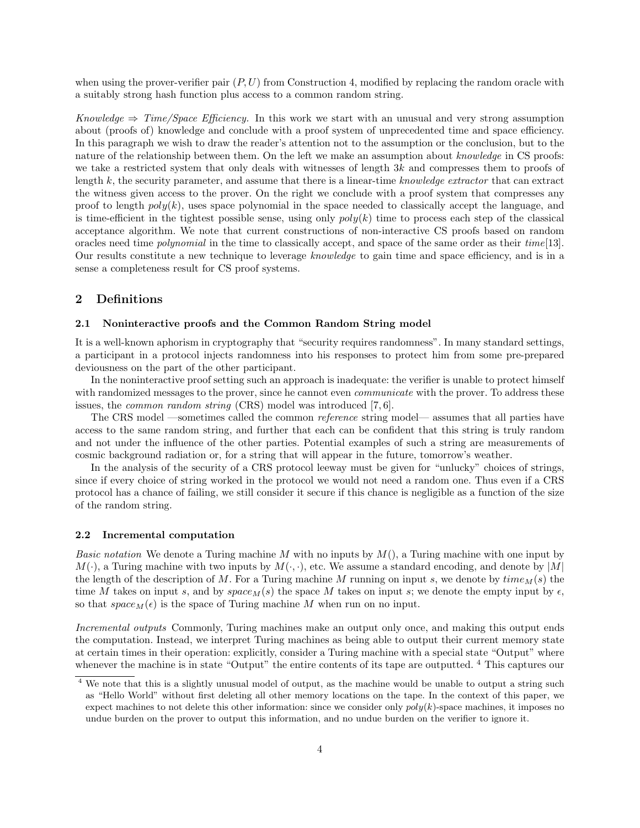when using the prover-verifier pair  $(P, U)$  from Construction 4, modified by replacing the random oracle with a suitably strong hash function plus access to a common random string.

Knowledge  $\Rightarrow$  Time/Space Efficiency. In this work we start with an unusual and very strong assumption about (proofs of) knowledge and conclude with a proof system of unprecedented time and space efficiency. In this paragraph we wish to draw the reader's attention not to the assumption or the conclusion, but to the nature of the relationship between them. On the left we make an assumption about knowledge in CS proofs: we take a restricted system that only deals with witnesses of length  $3k$  and compresses them to proofs of length  $k$ , the security parameter, and assume that there is a linear-time knowledge extractor that can extract the witness given access to the prover. On the right we conclude with a proof system that compresses any proof to length  $poly(k)$ , uses space polynomial in the space needed to classically accept the language, and is time-efficient in the tightest possible sense, using only  $poly(k)$  time to process each step of the classical acceptance algorithm. We note that current constructions of non-interactive CS proofs based on random oracles need time polynomial in the time to classically accept, and space of the same order as their time[13]. Our results constitute a new technique to leverage knowledge to gain time and space efficiency, and is in a sense a completeness result for CS proof systems.

# 2 Definitions

#### 2.1 Noninteractive proofs and the Common Random String model

It is a well-known aphorism in cryptography that "security requires randomness". In many standard settings, a participant in a protocol injects randomness into his responses to protect him from some pre-prepared deviousness on the part of the other participant.

In the noninteractive proof setting such an approach is inadequate: the verifier is unable to protect himself with randomized messages to the prover, since he cannot even *communicate* with the prover. To address these issues, the common random string (CRS) model was introduced [7, 6].

The CRS model —sometimes called the common reference string model— assumes that all parties have access to the same random string, and further that each can be confident that this string is truly random and not under the influence of the other parties. Potential examples of such a string are measurements of cosmic background radiation or, for a string that will appear in the future, tomorrow's weather.

In the analysis of the security of a CRS protocol leeway must be given for "unlucky" choices of strings, since if every choice of string worked in the protocol we would not need a random one. Thus even if a CRS protocol has a chance of failing, we still consider it secure if this chance is negligible as a function of the size of the random string.

#### 2.2 Incremental computation

*Basic notation* We denote a Turing machine M with no inputs by  $M()$ , a Turing machine with one input by  $M(\cdot)$ , a Turing machine with two inputs by  $M(\cdot)$ , etc. We assume a standard encoding, and denote by  $|M|$ the length of the description of M. For a Turing machine M running on input s, we denote by  $time_M(s)$  the time M takes on input s, and by  $space_M(s)$  the space M takes on input s; we denote the empty input by  $\epsilon$ , so that  $space_M(\epsilon)$  is the space of Turing machine M when run on no input.

Incremental outputs Commonly, Turing machines make an output only once, and making this output ends the computation. Instead, we interpret Turing machines as being able to output their current memory state at certain times in their operation: explicitly, consider a Turing machine with a special state "Output" where whenever the machine is in state "Output" the entire contents of its tape are outputted. <sup>4</sup> This captures our

<sup>&</sup>lt;sup>4</sup> We note that this is a slightly unusual model of output, as the machine would be unable to output a string such as "Hello World" without first deleting all other memory locations on the tape. In the context of this paper, we expect machines to not delete this other information: since we consider only  $poly(k)$ -space machines, it imposes no undue burden on the prover to output this information, and no undue burden on the verifier to ignore it.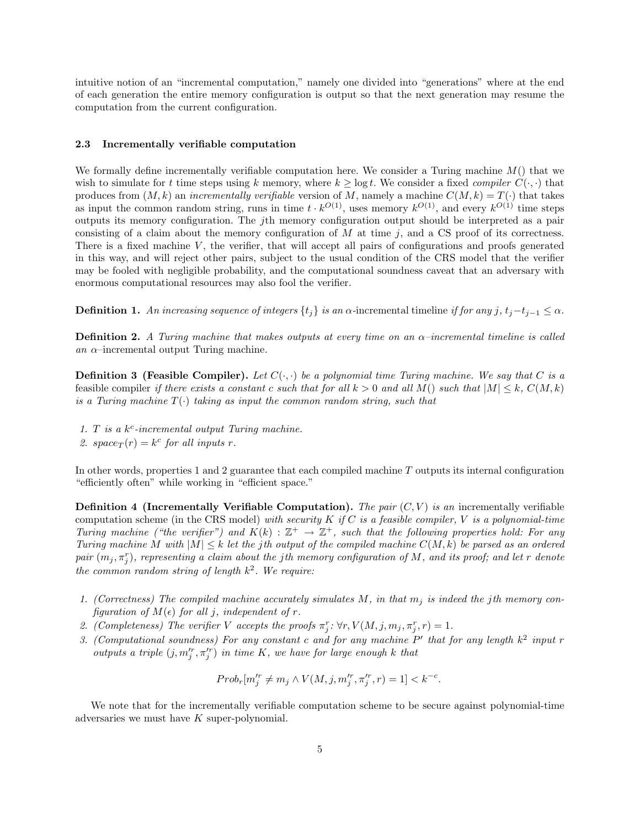intuitive notion of an "incremental computation," namely one divided into "generations" where at the end of each generation the entire memory configuration is output so that the next generation may resume the computation from the current configuration.

## 2.3 Incrementally verifiable computation

We formally define incrementally verifiable computation here. We consider a Turing machine  $M()$  that we wish to simulate for t time steps using k memory, where  $k \geq \log t$ . We consider a fixed *compiler*  $C(\cdot, \cdot)$  that produces from  $(M, k)$  an *incrementally verifiable* version of M, namely a machine  $C(M, k) = T(\cdot)$  that takes as input the common random string, runs in time  $t \cdot k^{O(1)}$ , uses memory  $k^{O(1)}$ , and every  $k^{O(1)}$  time steps outputs its memory configuration. The  $j$ th memory configuration output should be interpreted as a pair consisting of a claim about the memory configuration of  $M$  at time  $j$ , and a CS proof of its correctness. There is a fixed machine  $V$ , the verifier, that will accept all pairs of configurations and proofs generated in this way, and will reject other pairs, subject to the usual condition of the CRS model that the verifier may be fooled with negligible probability, and the computational soundness caveat that an adversary with enormous computational resources may also fool the verifier.

**Definition 1.** An increasing sequence of integers  $\{t_i\}$  is an  $\alpha$ -incremental timeline if for any j,  $t_i-t_{i-1} \leq \alpha$ .

**Definition 2.** A Turing machine that makes outputs at every time on an  $\alpha$ -incremental timeline is called an  $\alpha$ -incremental output Turing machine.

**Definition 3 (Feasible Compiler).** Let  $C(\cdot, \cdot)$  be a polynomial time Turing machine. We say that C is a feasible compiler if there exists a constant c such that for all  $k > 0$  and all  $M()$  such that  $|M| \leq k$ ,  $C(M, k)$ is a Turing machine  $T(\cdot)$  taking as input the common random string, such that

- 1.  $T$  is a  $k^c$ -incremental output Turing machine.
- 2.  $space_T(r) = k^c$  for all inputs r.

In other words, properties 1 and 2 guarantee that each compiled machine T outputs its internal configuration "efficiently often" while working in "efficient space."

**Definition 4 (Incrementally Verifiable Computation).** The pair  $(C, V)$  is an incrementally verifiable computation scheme (in the CRS model) with security K if C is a feasible compiler, V is a polynomial-time Turing machine ("the verifier") and  $K(k) : \mathbb{Z}^+ \to \mathbb{Z}^+$ , such that the following properties hold: For any Turing machine M with  $|M| \leq k$  let the jth output of the compiled machine  $C(M, k)$  be parsed as an ordered pair  $(m_j, \pi_j^r)$ , representing a claim about the jth memory configuration of M, and its proof; and let r denote the common random string of length  $k^2$ . We require:

- 1. (Correctness) The compiled machine accurately simulates M, in that  $m_j$  is indeed the jth memory configuration of  $M(\epsilon)$  for all j, independent of r.
- 2. (Completeness) The verifier V accepts the proofs  $\pi_j^r : \forall r, V(M, j, m_j, \pi_j^r, r) = 1$ .
- 3. (Computational soundness) For any constant c and for any machine P' that for any length  $k^2$  input r outputs a triple  $(j, m_j^{\prime r}, \pi_j^{\prime r})$  in time K, we have for large enough k that

$$
Prob_{r}[m_{j}^{r} \neq m_{j} \wedge V(M,j,m_{j}^{r},\pi_{j}^{r},r) = 1] < k^{-c}.
$$

We note that for the incrementally verifiable computation scheme to be secure against polynomial-time adversaries we must have K super-polynomial.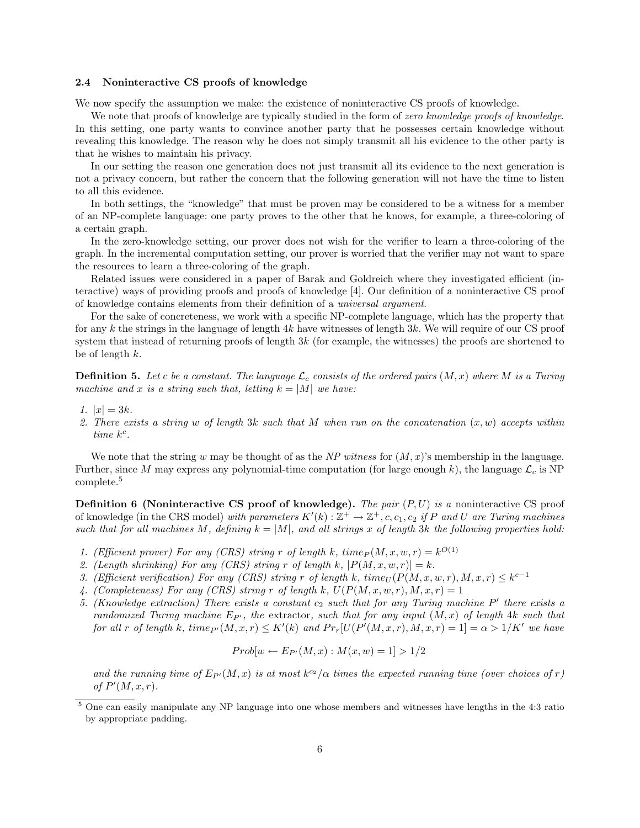#### 2.4 Noninteractive CS proofs of knowledge

We now specify the assumption we make: the existence of noninteractive CS proofs of knowledge.

We note that proofs of knowledge are typically studied in the form of zero knowledge proofs of knowledge. In this setting, one party wants to convince another party that he possesses certain knowledge without revealing this knowledge. The reason why he does not simply transmit all his evidence to the other party is that he wishes to maintain his privacy.

In our setting the reason one generation does not just transmit all its evidence to the next generation is not a privacy concern, but rather the concern that the following generation will not have the time to listen to all this evidence.

In both settings, the "knowledge" that must be proven may be considered to be a witness for a member of an NP-complete language: one party proves to the other that he knows, for example, a three-coloring of a certain graph.

In the zero-knowledge setting, our prover does not wish for the verifier to learn a three-coloring of the graph. In the incremental computation setting, our prover is worried that the verifier may not want to spare the resources to learn a three-coloring of the graph.

Related issues were considered in a paper of Barak and Goldreich where they investigated efficient (interactive) ways of providing proofs and proofs of knowledge [4]. Our definition of a noninteractive CS proof of knowledge contains elements from their definition of a universal argument.

For the sake of concreteness, we work with a specific NP-complete language, which has the property that for any k the strings in the language of length  $4k$  have witnesses of length  $3k$ . We will require of our CS proof system that instead of returning proofs of length 3k (for example, the witnesses) the proofs are shortened to be of length  $k$ .

**Definition 5.** Let c be a constant. The language  $\mathcal{L}_c$  consists of the ordered pairs  $(M, x)$  where M is a Turing machine and x is a string such that, letting  $k = |M|$  we have:

- 1.  $|x| = 3k$ .
- 2. There exists a string w of length 3k such that M when run on the concatenation  $(x, w)$  accepts within time  $k^c$ .

We note that the string w may be thought of as the NP witness for  $(M, x)$ 's membership in the language. Further, since M may express any polynomial-time computation (for large enough k), the language  $\mathcal{L}_c$  is NP complete.<sup>5</sup>

**Definition 6** (Noninteractive CS proof of knowledge). The pair  $(P, U)$  is a noninteractive CS proof of knowledge (in the CRS model) with parameters  $K'(k) : \mathbb{Z}^+ \to \mathbb{Z}^+, c, c_1, c_2$  if P and U are Turing machines such that for all machines M, defining  $k = |M|$ , and all strings x of length 3k the following properties hold:

- 1. (Efficient prover) For any (CRS) string r of length k, time  $P(M, x, w, r) = k^{O(1)}$
- 2. (Length shrinking) For any (CRS) string r of length k,  $|P(M, x, w, r)| = k$ .
- 3. (Efficient verification) For any (CRS) string r of length k, time<sub>U</sub>( $P(M, x, w, r)$ ,  $M, x, r$ )  $\leq k^{c-1}$
- 4. (Completeness) For any (CRS) string r of length k,  $U(P(M, x, w, r), M, x, r) = 1$
- 5. (Knowledge extraction) There exists a constant  $c_2$  such that for any Turing machine  $P'$  there exists a randomized Turing machine  $E_{P'}$ , the extractor, such that for any input  $(M, x)$  of length 4k such that for all r of length k, time<sub>P'</sub> $(M, x, r) \leq K'(k)$  and  $Pr_r[U(P'(M, x, r), M, x, r) = 1] = \alpha > 1/K'$  we have

$$
Prob[w \leftarrow E_{P'}(M, x) : M(x, w) = 1] > 1/2
$$

and the running time of  $E_{P}(M, x)$  is at most  $k^{c_2}/\alpha$  times the expected running time (over choices of r) of  $P'(M, x, r)$ .

<sup>5</sup> One can easily manipulate any NP language into one whose members and witnesses have lengths in the 4:3 ratio by appropriate padding.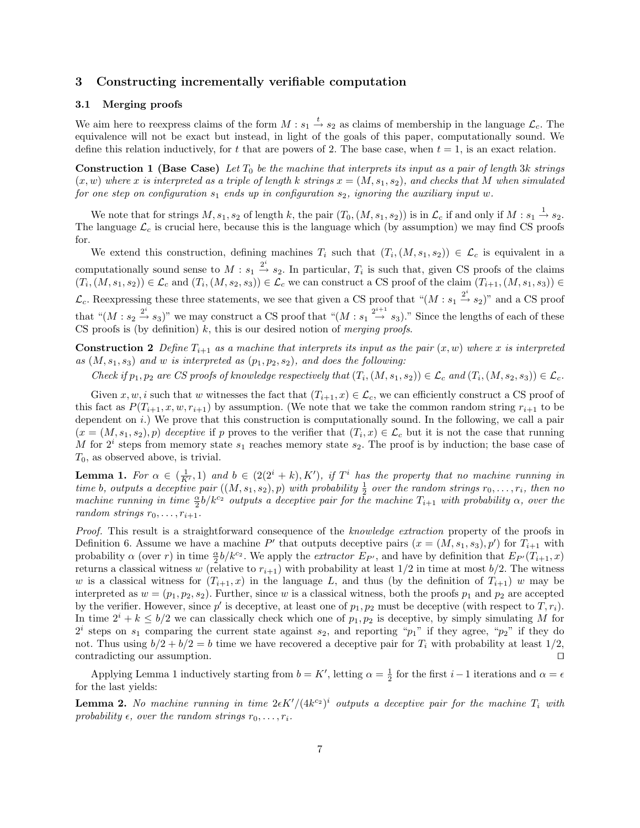## 3 Constructing incrementally verifiable computation

## 3.1 Merging proofs

We aim here to reexpress claims of the form  $M : s_1 \stackrel{t}{\to} s_2$  as claims of membership in the language  $\mathcal{L}_c$ . The equivalence will not be exact but instead, in light of the goals of this paper, computationally sound. We define this relation inductively, for t that are powers of 2. The base case, when  $t = 1$ , is an exact relation.

**Construction 1 (Base Case)** Let  $T_0$  be the machine that interprets its input as a pair of length 3k strings  $(x, w)$  where x is interpreted as a triple of length k strings  $x = (M, s_1, s_2)$ , and checks that M when simulated for one step on configuration  $s_1$  ends up in configuration  $s_2$ , ignoring the auxiliary input w.

We note that for strings  $M, s_1, s_2$  of length k, the pair  $(T_0, (M, s_1, s_2))$  is in  $\mathcal{L}_c$  if and only if  $M : s_1 \stackrel{1}{\rightarrow} s_2$ . The language  $\mathcal{L}_c$  is crucial here, because this is the language which (by assumption) we may find CS proofs for.

We extend this construction, defining machines  $T_i$  such that  $(T_i,(M,s_1,s_2)) \in \mathcal{L}_c$  is equivalent in a computationally sound sense to  $M : s_1 \stackrel{2^i}{\rightarrow} s_2$ . In particular,  $T_i$  is such that, given CS proofs of the claims  $(T_i,(M,s_1,s_2)) \in \mathcal{L}_c$  and  $(T_i,(M,s_2,s_3)) \in \mathcal{L}_c$  we can construct a CS proof of the claim  $(T_{i+1},(M,s_1,s_3)) \in$  $\mathcal{L}_c$ . Reexpressing these three statements, we see that given a CS proof that " $(M: s_1 \stackrel{2^i}{\rightarrow} s_2)$ " and a CS proof that " $(M: s_2 \stackrel{2^i}{\rightarrow} s_3)$ " we may construct a CS proof that " $(M: s_1 \stackrel{2^{i+1}}{\rightarrow} s_3)$ ." Since the lengths of each of these CS proofs is (by definition)  $k$ , this is our desired notion of merging proofs.

**Construction 2** Define  $T_{i+1}$  as a machine that interprets its input as the pair  $(x, w)$  where x is interpreted as  $(M, s_1, s_3)$  and w is interpreted as  $(p_1, p_2, s_2)$ , and does the following:

Check if  $p_1, p_2$  are CS proofs of knowledge respectively that  $(T_i, (M, s_1, s_2)) \in \mathcal{L}_c$  and  $(T_i, (M, s_2, s_3)) \in \mathcal{L}_c$ .

Given x, w, i such that w witnesses the fact that  $(T_{i+1}, x) \in \mathcal{L}_c$ , we can efficiently construct a CS proof of this fact as  $P(T_{i+1}, x, w, r_{i+1})$  by assumption. (We note that we take the common random string  $r_{i+1}$  to be dependent on i.) We prove that this construction is computationally sound. In the following, we call a pair  $(x = (M, s_1, s_2), p)$  deceptive if p proves to the verifier that  $(T_i, x) \in \mathcal{L}_c$  but it is not the case that running M for  $2^i$  steps from memory state  $s_1$  reaches memory state  $s_2$ . The proof is by induction; the base case of  $T_0$ , as observed above, is trivial.

**Lemma 1.** For  $\alpha \in (\frac{1}{K}, 1)$  and  $b \in (2(2^i + k), K')$ , if  $T^i$  has the property that no machine running in time b, outputs a deceptive pair  $((M, s_1, s_2), p)$  with probability  $\frac{1}{2}$  over the random strings  $r_0, \ldots, r_i$ , then no machine running in time  $\frac{\alpha}{2}b/k^{c_2}$  outputs a deceptive pair for the machine  $T_{i+1}$  with probability  $\alpha$ , over the random strings  $r_0, \ldots, r_{i+1}$ .

Proof. This result is a straightforward consequence of the knowledge extraction property of the proofs in Definition 6. Assume we have a machine P' that outputs deceptive pairs  $(x = (M, s_1, s_3), p')$  for  $T_{i+1}$  with probability  $\alpha$  (over r) in time  $\frac{\alpha}{2}b/k^{c_2}$ . We apply the *extractor*  $E_{P'}$ , and have by definition that  $E_{P'}(T_{i+1},x)$ returns a classical witness w (relative to  $r_{i+1}$ ) with probability at least  $1/2$  in time at most  $b/2$ . The witness w is a classical witness for  $(T_{i+1}, x)$  in the language L, and thus (by the definition of  $T_{i+1}$ ) w may be interpreted as  $w = (p_1, p_2, s_2)$ . Further, since w is a classical witness, both the proofs  $p_1$  and  $p_2$  are accepted by the verifier. However, since  $p'$  is deceptive, at least one of  $p_1, p_2$  must be deceptive (with respect to  $T, r_i$ ). In time  $2^{i} + k \leq b/2$  we can classically check which one of  $p_1, p_2$  is deceptive, by simply simulating M for  $2^i$  steps on  $s_1$  comparing the current state against  $s_2$ , and reporting " $p_1$ " if they agree, " $p_2$ " if they do not. Thus using  $b/2 + b/2 = b$  time we have recovered a deceptive pair for  $T_i$  with probability at least  $1/2$ , contradicting our assumption.  $\Box$ 

Applying Lemma 1 inductively starting from  $b = K'$ , letting  $\alpha = \frac{1}{2}$  for the first  $i-1$  iterations and  $\alpha = \epsilon$ for the last yields:

**Lemma 2.** No machine running in time  $2\epsilon K'/(4k^{c_2})^i$  outputs a deceptive pair for the machine  $T_i$  with probability  $\epsilon$ , over the random strings  $r_0, \ldots, r_i$ .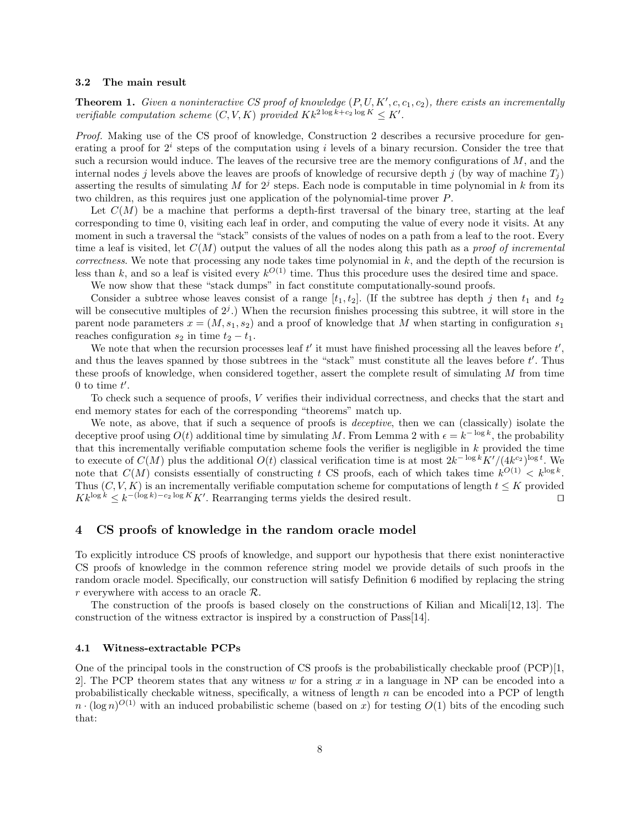#### 3.2 The main result

**Theorem 1.** Given a noninteractive CS proof of knowledge  $(P, U, K', c, c_1, c_2)$ , there exists an incrementally verifiable computation scheme  $(C, V, K)$  provided  $Kk^{2 \log k + c_2 \log K} \leq K'$ .

Proof. Making use of the CS proof of knowledge, Construction 2 describes a recursive procedure for generating a proof for  $2^i$  steps of the computation using i levels of a binary recursion. Consider the tree that such a recursion would induce. The leaves of the recursive tree are the memory configurations of  $M$ , and the internal nodes j levels above the leaves are proofs of knowledge of recursive depth j (by way of machine  $T_i$ ) asserting the results of simulating M for  $2<sup>j</sup>$  steps. Each node is computable in time polynomial in k from its two children, as this requires just one application of the polynomial-time prover P.

Let  $C(M)$  be a machine that performs a depth-first traversal of the binary tree, starting at the leaf corresponding to time 0, visiting each leaf in order, and computing the value of every node it visits. At any moment in such a traversal the "stack" consists of the values of nodes on a path from a leaf to the root. Every time a leaf is visited, let  $C(M)$  output the values of all the nodes along this path as a proof of incremental  $correctness$ . We note that processing any node takes time polynomial in  $k$ , and the depth of the recursion is less than k, and so a leaf is visited every  $k^{O(1)}$  time. Thus this procedure uses the desired time and space.

We now show that these "stack dumps" in fact constitute computationally-sound proofs.

Consider a subtree whose leaves consist of a range  $[t_1, t_2]$ . (If the subtree has depth j then  $t_1$  and  $t_2$ will be consecutive multiples of  $2<sup>j</sup>$ .) When the recursion finishes processing this subtree, it will store in the parent node parameters  $x = (M, s_1, s_2)$  and a proof of knowledge that M when starting in configuration  $s_1$ reaches configuration  $s_2$  in time  $t_2 - t_1$ .

We note that when the recursion processes leaf  $t'$  it must have finished processing all the leaves before  $t'$ , and thus the leaves spanned by those subtrees in the "stack" must constitute all the leaves before  $t'$ . Thus these proofs of knowledge, when considered together, assert the complete result of simulating M from time 0 to time  $t'$ .

To check such a sequence of proofs, V verifies their individual correctness, and checks that the start and end memory states for each of the corresponding "theorems" match up.

We note, as above, that if such a sequence of proofs is *deceptive*, then we can (classically) isolate the deceptive proof using  $O(t)$  additional time by simulating M. From Lemma 2 with  $\epsilon = k^{-\log k}$ , the probability that this incrementally verifiable computation scheme fools the verifier is negligible in  $k$  provided the time to execute of  $C(M)$  plus the additional  $O(t)$  classical verification time is at most  $2k^{-\log k}K'/(4k^{c_2})^{\log t}$ . We note that  $C(M)$  consists essentially of constructing t CS proofs, each of which takes time  $k^{O(1)} < k^{\log k}$ . Thus  $(C, V, K)$  is an incrementally verifiable computation scheme for computations of length  $t \leq K$  provided  $Kk^{\log k} \leq k^{-(\log k)-c_2 \log K} K'$ . Rearranging terms yields the desired result.

## 4 CS proofs of knowledge in the random oracle model

To explicitly introduce CS proofs of knowledge, and support our hypothesis that there exist noninteractive CS proofs of knowledge in the common reference string model we provide details of such proofs in the random oracle model. Specifically, our construction will satisfy Definition 6 modified by replacing the string r everywhere with access to an oracle  $\mathcal{R}$ .

The construction of the proofs is based closely on the constructions of Kilian and Micali[12, 13]. The construction of the witness extractor is inspired by a construction of Pass[14].

#### 4.1 Witness-extractable PCPs

One of the principal tools in the construction of CS proofs is the probabilistically checkable proof (PCP)[1, 2. The PCP theorem states that any witness w for a string x in a language in NP can be encoded into a probabilistically checkable witness, specifically, a witness of length  $n$  can be encoded into a PCP of length  $n \cdot (\log n)^{O(1)}$  with an induced probabilistic scheme (based on x) for testing  $O(1)$  bits of the encoding such that: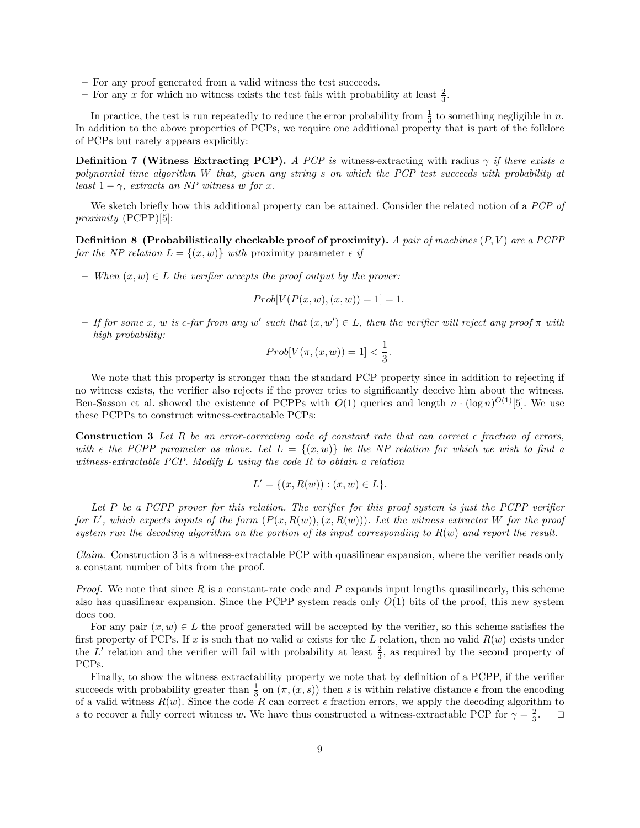- For any proof generated from a valid witness the test succeeds.
- For any x for which no witness exists the test fails with probability at least  $\frac{2}{3}$ .

In practice, the test is run repeatedly to reduce the error probability from  $\frac{1}{3}$  to something negligible in n. In addition to the above properties of PCPs, we require one additional property that is part of the folklore of PCPs but rarely appears explicitly:

**Definition 7 (Witness Extracting PCP).** A PCP is witness-extracting with radius  $\gamma$  if there exists a polynomial time algorithm W that, given any string s on which the PCP test succeeds with probability at least  $1 - \gamma$ , extracts an NP witness w for x.

We sketch briefly how this additional property can be attained. Consider the related notion of a PCP of proximity (PCPP)[5]:

Definition 8 (Probabilistically checkable proof of proximity). A pair of machines  $(P, V)$  are a PCPP for the NP relation  $L = \{(x, w)\}\$  with proximity parameter  $\epsilon$  if

– When  $(x, w)$  ∈ L the verifier accepts the proof output by the prover:

$$
Prob[V(P(x, w), (x, w)) = 1] = 1.
$$

- If for some x, w is  $\epsilon$ -far from any w' such that  $(x, w') \in L$ , then the verifier will reject any proof  $\pi$  with high probability:

$$
Prob[V(\pi, (x, w)) = 1] < \frac{1}{3}.
$$

We note that this property is stronger than the standard PCP property since in addition to rejecting if no witness exists, the verifier also rejects if the prover tries to significantly deceive him about the witness. Ben-Sasson et al. showed the existence of PCPPs with  $O(1)$  queries and length  $n \cdot (\log n)^{O(1)}[5]$ . We use these PCPPs to construct witness-extractable PCPs:

**Construction 3** Let R be an error-correcting code of constant rate that can correct  $\epsilon$  fraction of errors, with  $\epsilon$  the PCPP parameter as above. Let  $L = \{(x, w)\}\;$  be the NP relation for which we wish to find a witness-extractable PCP. Modify  $L$  using the code  $R$  to obtain a relation

$$
L' = \{(x, R(w)) : (x, w) \in L\}.
$$

Let P be a PCPP prover for this relation. The verifier for this proof system is just the PCPP verifier for L', which expects inputs of the form  $(P(x, R(w)), (x, R(w)))$ . Let the witness extractor W for the proof system run the decoding algorithm on the portion of its input corresponding to  $R(w)$  and report the result.

Claim. Construction 3 is a witness-extractable PCP with quasilinear expansion, where the verifier reads only a constant number of bits from the proof.

*Proof.* We note that since R is a constant-rate code and P expands input lengths quasilinearly, this scheme also has quasilinear expansion. Since the PCPP system reads only  $O(1)$  bits of the proof, this new system does too.

For any pair  $(x, w) \in L$  the proof generated will be accepted by the verifier, so this scheme satisfies the first property of PCPs. If x is such that no valid w exists for the L relation, then no valid  $R(w)$  exists under the L' relation and the verifier will fail with probability at least  $\frac{2}{3}$ , as required by the second property of PCPs.

Finally, to show the witness extractability property we note that by definition of a PCPP, if the verifier succeeds with probability greater than  $\frac{1}{3}$  on  $(\pi,(x,s))$  then s is within relative distance  $\epsilon$  from the encoding of a valid witness  $R(w)$ . Since the code R can correct  $\epsilon$  fraction errors, we apply the decoding algorithm to s to recover a fully correct witness w. We have thus constructed a witness-extractable PCP for  $\gamma = \frac{2}{3}$  $\Box$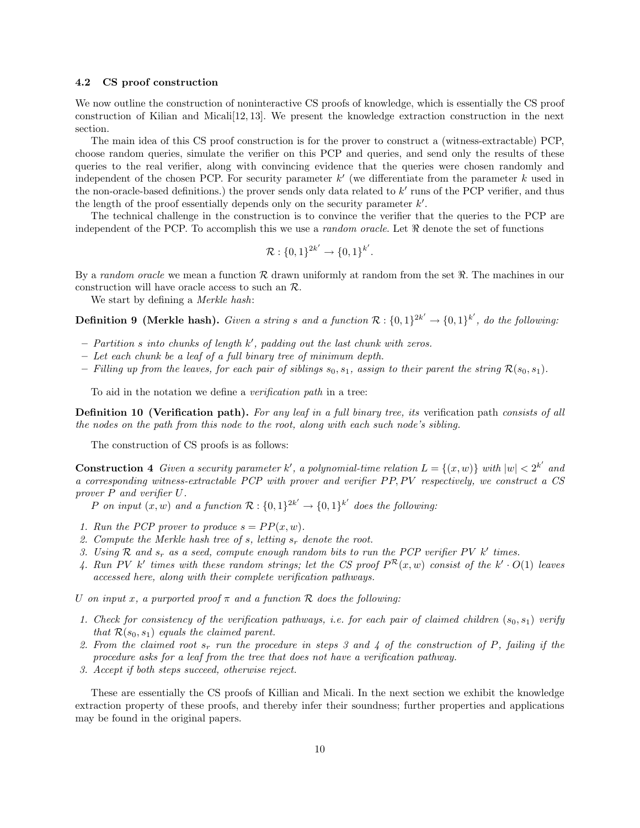#### 4.2 CS proof construction

We now outline the construction of noninteractive CS proofs of knowledge, which is essentially the CS proof construction of Kilian and Micali[12, 13]. We present the knowledge extraction construction in the next section.

The main idea of this CS proof construction is for the prover to construct a (witness-extractable) PCP, choose random queries, simulate the verifier on this PCP and queries, and send only the results of these queries to the real verifier, along with convincing evidence that the queries were chosen randomly and independent of the chosen PCP. For security parameter  $k'$  (we differentiate from the parameter k used in the non-oracle-based definitions.) the prover sends only data related to  $k'$  runs of the PCP verifier, and thus the length of the proof essentially depends only on the security parameter  $k'$ .

The technical challenge in the construction is to convince the verifier that the queries to the PCP are independent of the PCP. To accomplish this we use a *random oracle*. Let  $\Re$  denote the set of functions

$$
\mathcal{R}: \{0,1\}^{2k'} \to \{0,1\}^{k'}.
$$

By a random oracle we mean a function  $R$  drawn uniformly at random from the set  $\Re$ . The machines in our construction will have oracle access to such an R.

We start by defining a Merkle hash:

**Definition 9 (Merkle hash).** Given a string s and a function  $\mathcal{R}: \{0,1\}^{2k'} \to \{0,1\}^{k'}$ , do the following:

- $-$  Partition s into chunks of length  $k'$ , padding out the last chunk with zeros.
- Let each chunk be a leaf of a full binary tree of minimum depth.
- Filling up from the leaves, for each pair of siblings  $s_0, s_1$ , assign to their parent the string  $\mathcal{R}(s_0, s_1)$ .

To aid in the notation we define a verification path in a tree:

Definition 10 (Verification path). For any leaf in a full binary tree, its verification path consists of all the nodes on the path from this node to the root, along with each such node's sibling.

The construction of CS proofs is as follows:

**Construction 4** Given a security parameter k', a polynomial-time relation  $L = \{(x, w)\}\$  with  $|w| < 2^{k'}$  and a corresponding witness-extractable PCP with prover and verifier  $PP, PV$  respectively, we construct a CS prover P and verifier U.

P on input  $(x, w)$  and a function  $\mathcal{R}: \{0, 1\}^{2k'} \to \{0, 1\}^{k'}$  does the following:

- 1. Run the PCP prover to produce  $s = PP(x, w)$ .
- 2. Compute the Merkle hash tree of s, letting  $s_r$  denote the root.
- 3. Using  $R$  and  $s_r$  as a seed, compute enough random bits to run the PCP verifier PV  $k'$  times.
- 4. Run PV k' times with these random strings; let the CS proof  $P^{\mathcal{R}}(x, w)$  consist of the k'  $\cdot$  O(1) leaves accessed here, along with their complete verification pathways.

U on input x, a purported proof  $\pi$  and a function R does the following:

- 1. Check for consistency of the verification pathways, i.e. for each pair of claimed children  $(s_0, s_1)$  verify that  $\mathcal{R}(s_0, s_1)$  equals the claimed parent.
- 2. From the claimed root  $s_r$  run the procedure in steps 3 and 4 of the construction of P, failing if the procedure asks for a leaf from the tree that does not have a verification pathway.
- 3. Accept if both steps succeed, otherwise reject.

These are essentially the CS proofs of Killian and Micali. In the next section we exhibit the knowledge extraction property of these proofs, and thereby infer their soundness; further properties and applications may be found in the original papers.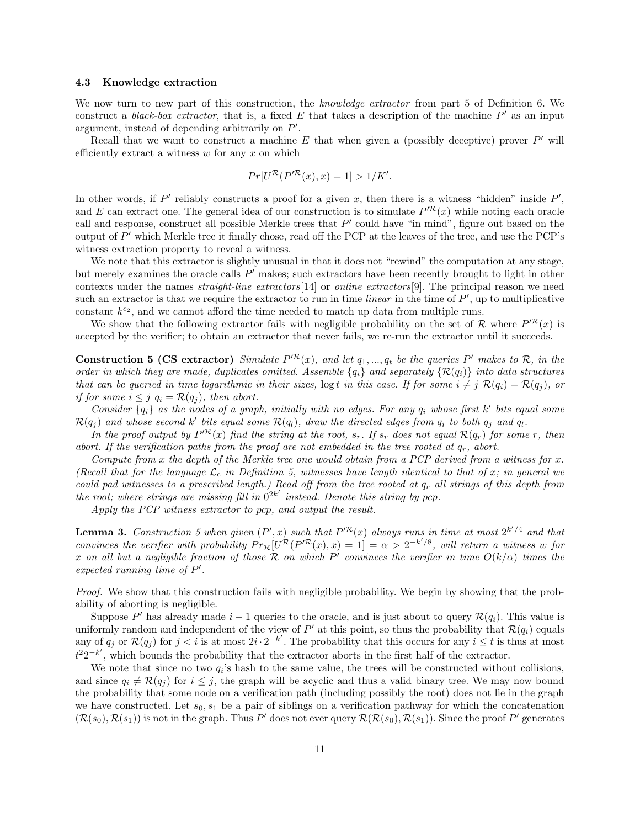#### 4.3 Knowledge extraction

We now turn to new part of this construction, the knowledge extractor from part 5 of Definition 6. We construct a black-box extractor, that is, a fixed  $E$  that takes a description of the machine  $P'$  as an input argument, instead of depending arbitrarily on  $P'$ .

Recall that we want to construct a machine  $E$  that when given a (possibly deceptive) prover  $P'$  will efficiently extract a witness  $w$  for any  $x$  on which

$$
Pr[U^{\mathcal{R}}(P'^{\mathcal{R}}(x), x) = 1] > 1/K'.
$$

In other words, if  $P'$  reliably constructs a proof for a given x, then there is a witness "hidden" inside  $P'$ , and E can extract one. The general idea of our construction is to simulate  $P^{R}(x)$  while noting each oracle call and response, construct all possible Merkle trees that  $P'$  could have "in mind", figure out based on the output of  $P'$  which Merkle tree it finally chose, read off the PCP at the leaves of the tree, and use the PCP's witness extraction property to reveal a witness.

We note that this extractor is slightly unusual in that it does not "rewind" the computation at any stage. but merely examines the oracle calls  $P'$  makes; such extractors have been recently brought to light in other contexts under the names straight-line extractors[14] or online extractors[9]. The principal reason we need such an extractor is that we require the extractor to run in time *linear* in the time of  $P'$ , up to multiplicative constant  $k^{c_2}$ , and we cannot afford the time needed to match up data from multiple runs.

We show that the following extractor fails with negligible probability on the set of R where  $P^{\prime\mathcal{R}}(x)$  is accepted by the verifier; to obtain an extractor that never fails, we re-run the extractor until it succeeds.

**Construction 5 (CS extractor)** Simulate  $P^{R}(x)$ , and let  $q_1, ..., q_t$  be the queries P' makes to R, in the order in which they are made, duplicates omitted. Assemble  ${q_i}$  and separately  ${R(q_i)}$  into data structures that can be queried in time logarithmic in their sizes,  $\log t$  in this case. If for some  $i \neq j$   $\mathcal{R}(q_i) = \mathcal{R}(q_j)$ , or if for some  $i \leq j$   $q_i = \mathcal{R}(q_j)$ , then abort.

Consider  $\{q_i\}$  as the nodes of a graph, initially with no edges. For any  $q_i$  whose first k' bits equal some  $\mathcal{R}(q_j)$  and whose second k' bits equal some  $\mathcal{R}(q_l)$ , draw the directed edges from  $q_i$  to both  $q_j$  and  $q_l$ .

In the proof output by  $P'^{\mathcal{R}}(x)$  find the string at the root,  $s_r$ . If  $s_r$  does not equal  $\mathcal{R}(q_r)$  for some r, then abort. If the verification paths from the proof are not embedded in the tree rooted at  $q_r$ , abort.

Compute from  $x$  the depth of the Merkle tree one would obtain from a PCP derived from a witness for  $x$ . (Recall that for the language  $\mathcal{L}_c$  in Definition 5, witnesses have length identical to that of x; in general we could pad witnesses to a prescribed length.) Read off from the tree rooted at  $q_r$  all strings of this depth from the root; where strings are missing fill in  $0^{2k'}$  instead. Denote this string by pcp.

Apply the PCP witness extractor to pcp, and output the result.

**Lemma 3.** Construction 5 when given  $(P', x)$  such that  $P'^{R}(x)$  always runs in time at most  $2^{k'/4}$  and that convinces the verifier with probability  $Pr_R[U^{\mathcal{R}}(P'^{\mathcal{R}}(x),x) = 1] = \alpha > 2^{-k'/8}$ , will return a witness w for x on all but a negligible fraction of those R on which P' convinces the verifier in time  $O(k/\alpha)$  times the expected running time of  $P'$ .

Proof. We show that this construction fails with negligible probability. We begin by showing that the probability of aborting is negligible.

Suppose P' has already made  $i-1$  queries to the oracle, and is just about to query  $\mathcal{R}(q_i)$ . This value is uniformly random and independent of the view of  $P'$  at this point, so thus the probability that  $\mathcal{R}(q_i)$  equals any of  $q_j$  or  $\mathcal{R}(q_j)$  for  $j < i$  is at most  $2i \cdot 2^{-k'}$ . The probability that this occurs for any  $i \leq t$  is thus at most  $t^22^{-k'}$ , which bounds the probability that the extractor aborts in the first half of the extractor.

We note that since no two  $q_i$ 's hash to the same value, the trees will be constructed without collisions, and since  $q_i \neq \mathcal{R}(q_j)$  for  $i \leq j$ , the graph will be acyclic and thus a valid binary tree. We may now bound the probability that some node on a verification path (including possibly the root) does not lie in the graph we have constructed. Let  $s_0, s_1$  be a pair of siblings on a verification pathway for which the concatenation  $(\mathcal{R}(s_0), \mathcal{R}(s_1))$  is not in the graph. Thus P' does not ever query  $\mathcal{R}(\mathcal{R}(s_0), \mathcal{R}(s_1))$ . Since the proof P' generates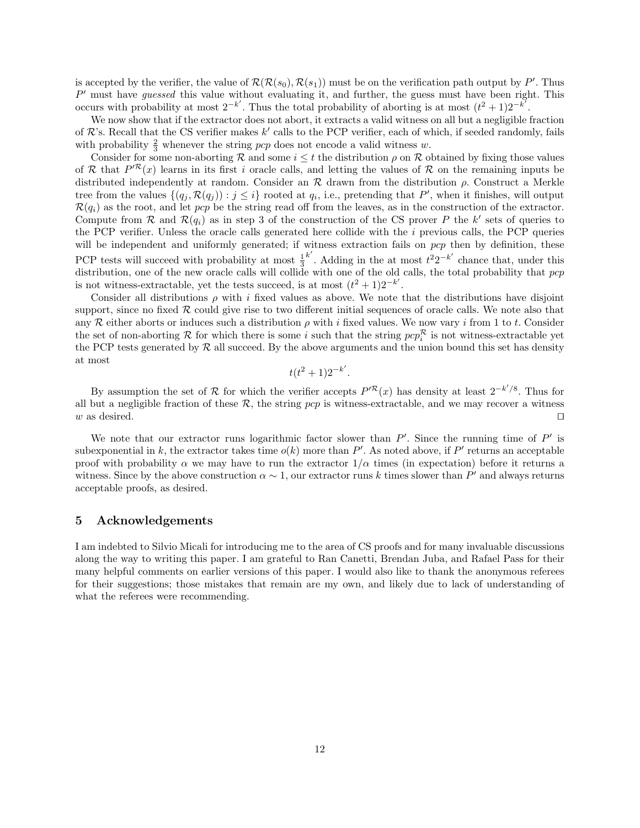is accepted by the verifier, the value of  $\mathcal{R}(\mathcal{R}(s_0), \mathcal{R}(s_1))$  must be on the verification path output by P'. Thus  $P'$  must have guessed this value without evaluating it, and further, the guess must have been right. This occurs with probability at most  $2^{-k'}$ . Thus the total probability of aborting is at most  $(t^2 + 1)2^{-k'}$ .

We now show that if the extractor does not abort, it extracts a valid witness on all but a negligible fraction of  $\mathcal{R}$ 's. Recall that the CS verifier makes  $k'$  calls to the PCP verifier, each of which, if seeded randomly, fails with probability  $\frac{2}{3}$  whenever the string pcp does not encode a valid witness w.

Consider for some non-aborting  $\mathcal R$  and some  $i \leq t$  the distribution  $\rho$  on  $\mathcal R$  obtained by fixing those values of R that  $P^{\prime\mathcal{R}}(x)$  learns in its first i oracle calls, and letting the values of R on the remaining inputs be distributed independently at random. Consider an R drawn from the distribution  $\rho$ . Construct a Merkle tree from the values  $\{(q_j, \mathcal{R}(q_j)) : j \leq i\}$  rooted at  $q_i$ , i.e., pretending that P', when it finishes, will output  $\mathcal{R}(q_i)$  as the root, and let pcp be the string read off from the leaves, as in the construction of the extractor. Compute from  $\mathcal R$  and  $\mathcal R(q_i)$  as in step 3 of the construction of the CS prover P the k' sets of queries to the PCP verifier. Unless the oracle calls generated here collide with the  $i$  previous calls, the PCP queries will be independent and uniformly generated; if witness extraction fails on pcp then by definition, these PCP tests will succeed with probability at most  $\frac{1}{3}$  $k'$ . Adding in the at most  $t^22^{-k'}$  chance that, under this distribution, one of the new oracle calls will collide with one of the old calls, the total probability that pcp is not witness-extractable, yet the tests succeed, is at most  $(t^2 + 1)2^{-k'}$ .

Consider all distributions  $\rho$  with i fixed values as above. We note that the distributions have disjoint support, since no fixed  $R$  could give rise to two different initial sequences of oracle calls. We note also that any R either aborts or induces such a distribution  $\rho$  with i fixed values. We now vary i from 1 to t. Consider the set of non-aborting R for which there is some i such that the string  $pcp_i^{\mathcal{R}}$  is not witness-extractable yet the PCP tests generated by  $R$  all succeed. By the above arguments and the union bound this set has density at most  $\overline{a}$ 

$$
t(t^2+1)2^{-k'}
$$

.

By assumption the set of R for which the verifier accepts  $P^{\prime\mathcal{R}}(x)$  has density at least  $2^{-k^{\prime}/8}$ . Thus for all but a negligible fraction of these  $\mathcal{R}$ , the string pcp is witness-extractable, and we may recover a witness w as desired.  $\Box$ 

We note that our extractor runs logarithmic factor slower than  $P'$ . Since the running time of  $P'$  is subexponential in k, the extractor takes time  $o(k)$  more than P'. As noted above, if P' returns an acceptable proof with probability  $\alpha$  we may have to run the extractor  $1/\alpha$  times (in expectation) before it returns a witness. Since by the above construction  $\alpha \sim 1$ , our extractor runs k times slower than P' and always returns acceptable proofs, as desired.

#### 5 Acknowledgements

I am indebted to Silvio Micali for introducing me to the area of CS proofs and for many invaluable discussions along the way to writing this paper. I am grateful to Ran Canetti, Brendan Juba, and Rafael Pass for their many helpful comments on earlier versions of this paper. I would also like to thank the anonymous referees for their suggestions; those mistakes that remain are my own, and likely due to lack of understanding of what the referees were recommending.